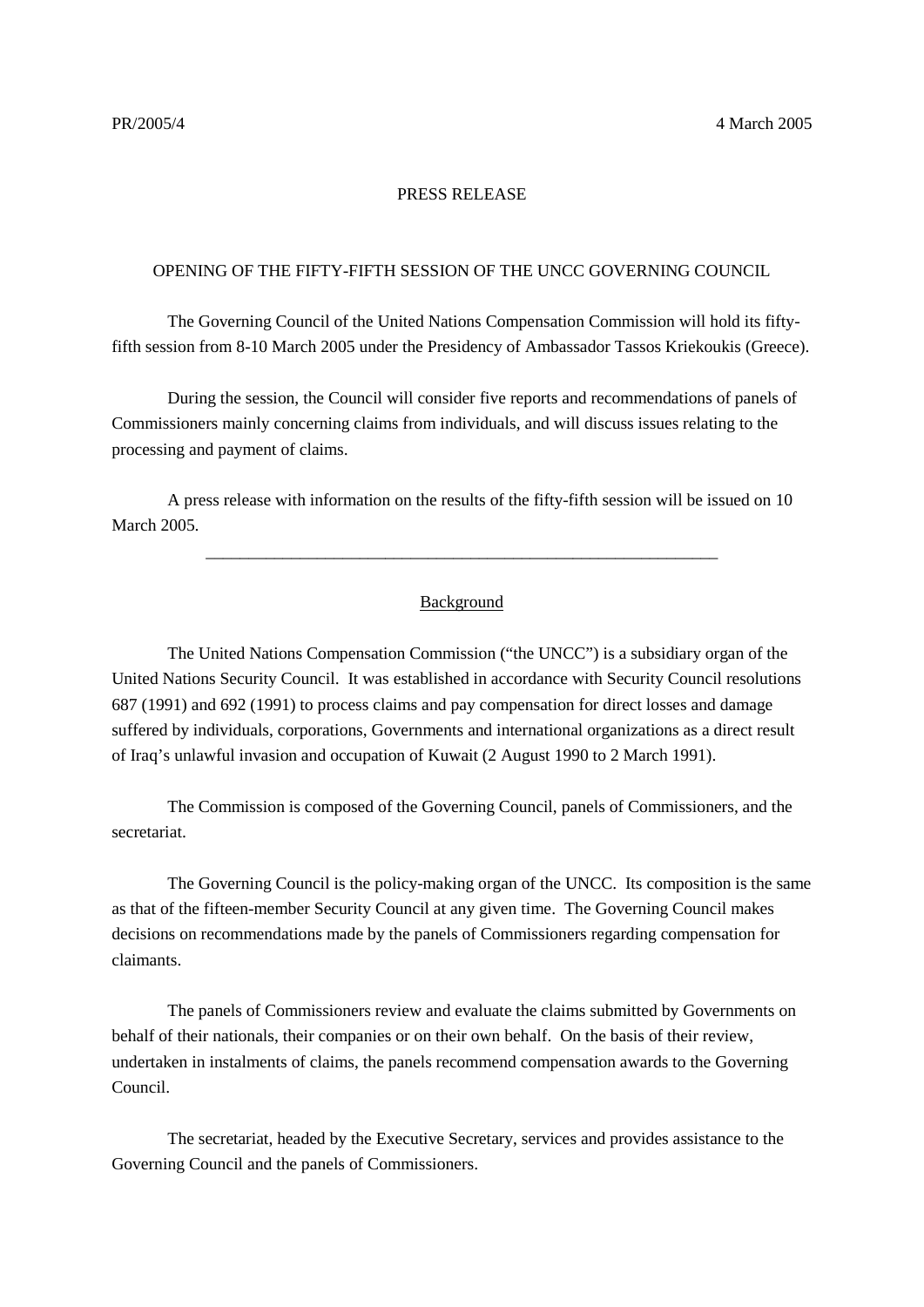## PRESS RELEASE

## OPENING OF THE FIFTY-FIFTH SESSION OF THE UNCC GOVERNING COUNCIL

The Governing Council of the United Nations Compensation Commission will hold its fiftyfifth session from 8-10 March 2005 under the Presidency of Ambassador Tassos Kriekoukis (Greece).

During the session, the Council will consider five reports and recommendations of panels of Commissioners mainly concerning claims from individuals, and will discuss issues relating to the processing and payment of claims.

A press release with information on the results of the fifty-fifth session will be issued on 10 March 2005.

## Background

\_\_\_\_\_\_\_\_\_\_\_\_\_\_\_\_\_\_\_\_\_\_\_\_\_\_\_\_\_\_\_\_\_\_\_\_\_\_\_\_\_\_\_\_\_\_\_\_\_\_\_\_\_\_\_\_\_\_\_\_

The United Nations Compensation Commission ("the UNCC") is a subsidiary organ of the United Nations Security Council. It was established in accordance with Security Council resolutions 687 (1991) and 692 (1991) to process claims and pay compensation for direct losses and damage suffered by individuals, corporations, Governments and international organizations as a direct result of Iraq's unlawful invasion and occupation of Kuwait (2 August 1990 to 2 March 1991).

The Commission is composed of the Governing Council, panels of Commissioners, and the secretariat.

The Governing Council is the policy-making organ of the UNCC. Its composition is the same as that of the fifteen-member Security Council at any given time. The Governing Council makes decisions on recommendations made by the panels of Commissioners regarding compensation for claimants.

The panels of Commissioners review and evaluate the claims submitted by Governments on behalf of their nationals, their companies or on their own behalf. On the basis of their review, undertaken in instalments of claims, the panels recommend compensation awards to the Governing Council.

The secretariat, headed by the Executive Secretary, services and provides assistance to the Governing Council and the panels of Commissioners.